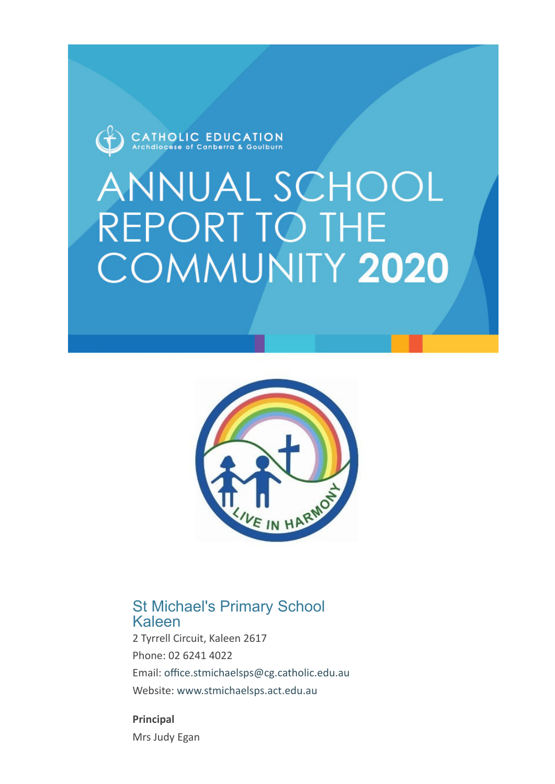

# **ANNUAL SCHOOL REPORT TO THE** COMMUNITY 2020



### St Michael's Primary School Kaleen

2 Tyrrell Circuit, Kaleen 2617 Phone: 02 6241 4022 Email: [office.stmichaelsps@cg.catholic.edu.au](mailto:%20office.stmichaelsps@cg.catholic.edu.au) Website: [www.stmichaelsps.act.edu.au](https://asr.cg.catholic.edu.au/Reports/Print/www.stmichaelsps.act.edu.au)

**Principal** Mrs Judy Egan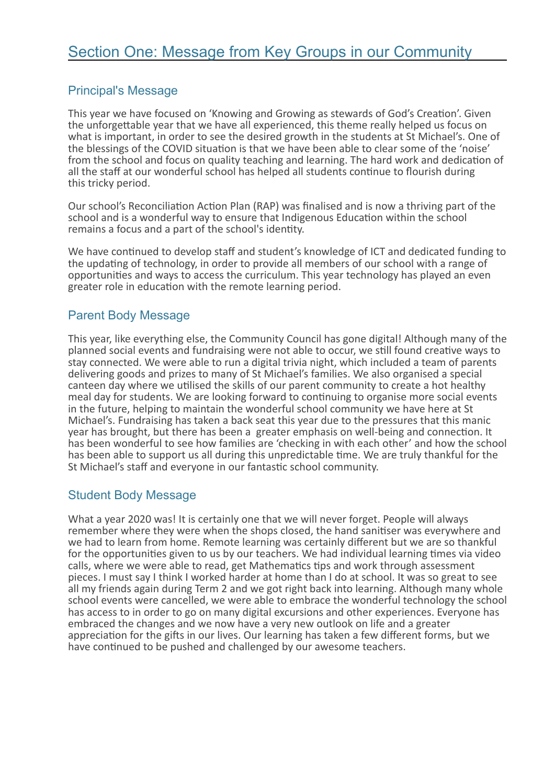#### Principal's Message

This year we have focused on 'Knowing and Growing as stewards of God's Creation'. Given the unforgettable year that we have all experienced, this theme really helped us focus on what is important, in order to see the desired growth in the students at St Michael's. One of the blessings of the COVID situation is that we have been able to clear some of the 'noise' from the school and focus on quality teaching and learning. The hard work and dedication of all the staff at our wonderful school has helped all students continue to flourish during this tricky period.

Our school's Reconciliation Action Plan (RAP) was finalised and is now a thriving part of the school and is a wonderful way to ensure that Indigenous Education within the school remains a focus and a part of the school's identity.

We have continued to develop staff and student's knowledge of ICT and dedicated funding to the updating of technology, in order to provide all members of our school with a range of opportunities and ways to access the curriculum. This year technology has played an even greater role in education with the remote learning period.

#### Parent Body Message

This year, like everything else, the Community Council has gone digital! Although many of the planned social events and fundraising were not able to occur, we still found creative ways to stay connected. We were able to run a digital trivia night, which included a team of parents delivering goods and prizes to many of St Michael's families. We also organised a special canteen day where we utilised the skills of our parent community to create a hot healthy meal day for students. We are looking forward to continuing to organise more social events in the future, helping to maintain the wonderful school community we have here at St Michael's. Fundraising has taken a back seat this year due to the pressures that this manic year has brought, but there has been a greater emphasis on well-being and connection. It has been wonderful to see how families are 'checking in with each other' and how the school has been able to support us all during this unpredictable time. We are truly thankful for the St Michael's staff and everyone in our fantastic school community.

#### Student Body Message

What a year 2020 was! It is certainly one that we will never forget. People will always remember where they were when the shops closed, the hand sanitiser was everywhere and we had to learn from home. Remote learning was certainly different but we are so thankful for the opportunities given to us by our teachers. We had individual learning times via video calls, where we were able to read, get Mathematics tips and work through assessment pieces. I must say I think I worked harder at home than I do at school. It was so great to see all my friends again during Term 2 and we got right back into learning. Although many whole school events were cancelled, we were able to embrace the wonderful technology the school has access to in order to go on many digital excursions and other experiences. Everyone has embraced the changes and we now have a very new outlook on life and a greater appreciation for the gifts in our lives. Our learning has taken a few different forms, but we have continued to be pushed and challenged by our awesome teachers.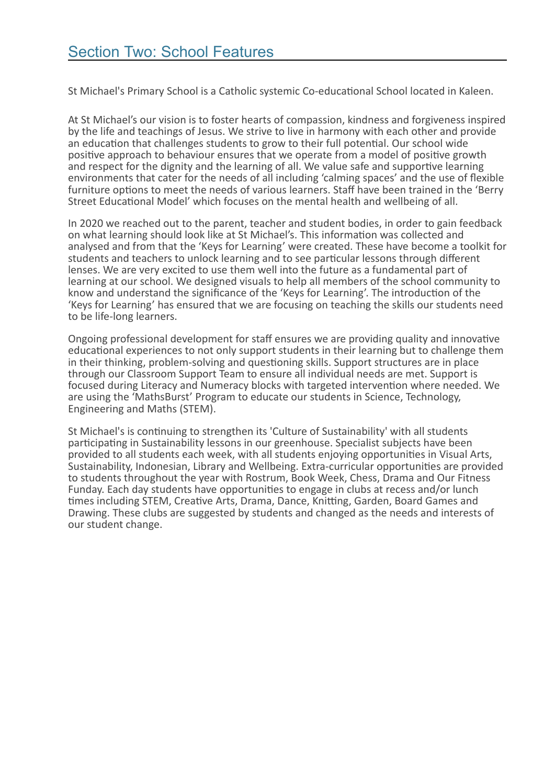St Michael's Primary School is a Catholic systemic Co-educational School located in Kaleen.

At St Michael's our vision is to foster hearts of compassion, kindness and forgiveness inspired by the life and teachings of Jesus. We strive to live in harmony with each other and provide an education that challenges students to grow to their full potential. Our school wide positive approach to behaviour ensures that we operate from a model of positive growth and respect for the dignity and the learning of all. We value safe and supportive learning environments that cater for the needs of all including 'calming spaces' and the use of flexible furniture options to meet the needs of various learners. Staff have been trained in the 'Berry Street Educational Model' which focuses on the mental health and wellbeing of all.

In 2020 we reached out to the parent, teacher and student bodies, in order to gain feedback on what learning should look like at St Michael's. This information was collected and analysed and from that the 'Keys for Learning' were created. These have become a toolkit for students and teachers to unlock learning and to see particular lessons through different lenses. We are very excited to use them well into the future as a fundamental part of learning at our school. We designed visuals to help all members of the school community to know and understand the significance of the 'Keys for Learning'. The introduction of the 'Keys for Learning' has ensured that we are focusing on teaching the skills our students need to be life-long learners.

Ongoing professional development for staff ensures we are providing quality and innovative educational experiences to not only support students in their learning but to challenge them in their thinking, problem-solving and questioning skills. Support structures are in place through our Classroom Support Team to ensure all individual needs are met. Support is focused during Literacy and Numeracy blocks with targeted intervention where needed. We are using the 'MathsBurst' Program to educate our students in Science, Technology, Engineering and Maths (STEM).

St Michael's is continuing to strengthen its 'Culture of Sustainability' with all students participating in Sustainability lessons in our greenhouse. Specialist subjects have been provided to all students each week, with all students enjoying opportunities in Visual Arts, Sustainability, Indonesian, Library and Wellbeing. Extra-curricular opportunities are provided to students throughout the year with Rostrum, Book Week, Chess, Drama and Our Fitness Funday. Each day students have opportunities to engage in clubs at recess and/or lunch times including STEM, Creative Arts, Drama, Dance, Knitting, Garden, Board Games and Drawing. These clubs are suggested by students and changed as the needs and interests of our student change.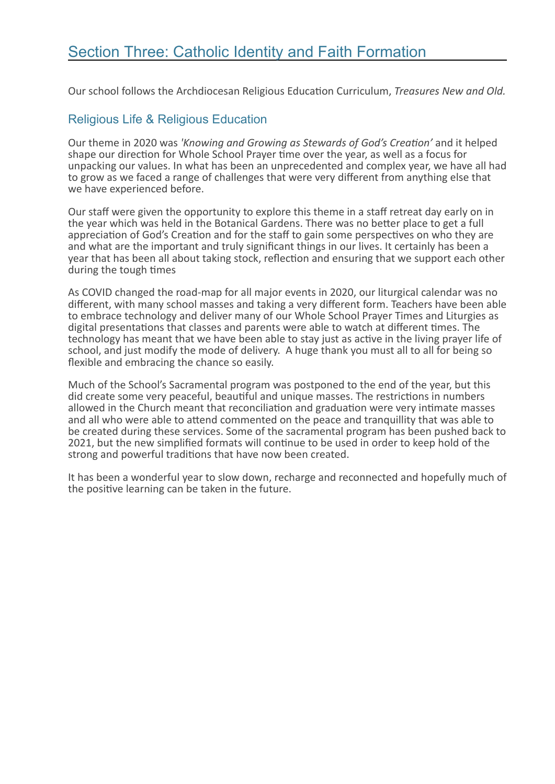Our school follows the Archdiocesan Religious Education Curriculum, *Treasures New and Old.*

#### Religious Life & Religious Education

Our theme in 2020 was *'Knowing and Growing as Stewards of God's Creation'* and it helped shape our direction for Whole School Prayer time over the year, as well as a focus for unpacking our values. In what has been an unprecedented and complex year, we have all had to grow as we faced a range of challenges that were very different from anything else that we have experienced before.

Our staff were given the opportunity to explore this theme in a staff retreat day early on in the year which was held in the Botanical Gardens. There was no better place to get a full appreciation of God's Creation and for the staff to gain some perspectives on who they are and what are the important and truly significant things in our lives. It certainly has been a year that has been all about taking stock, reflection and ensuring that we support each other during the tough times

As COVID changed the road-map for all major events in 2020, our liturgical calendar was no different, with many school masses and taking a very different form. Teachers have been able to embrace technology and deliver many of our Whole School Prayer Times and Liturgies as digital presentations that classes and parents were able to watch at different times. The technology has meant that we have been able to stay just as active in the living prayer life of school, and just modify the mode of delivery. A huge thank you must all to all for being so flexible and embracing the chance so easily.

Much of the School's Sacramental program was postponed to the end of the year, but this did create some very peaceful, beautiful and unique masses. The restrictions in numbers allowed in the Church meant that reconciliation and graduation were very intimate masses and all who were able to attend commented on the peace and tranquillity that was able to be created during these services. Some of the sacramental program has been pushed back to 2021, but the new simplified formats will continue to be used in order to keep hold of the strong and powerful traditions that have now been created.

It has been a wonderful year to slow down, recharge and reconnected and hopefully much of the positive learning can be taken in the future.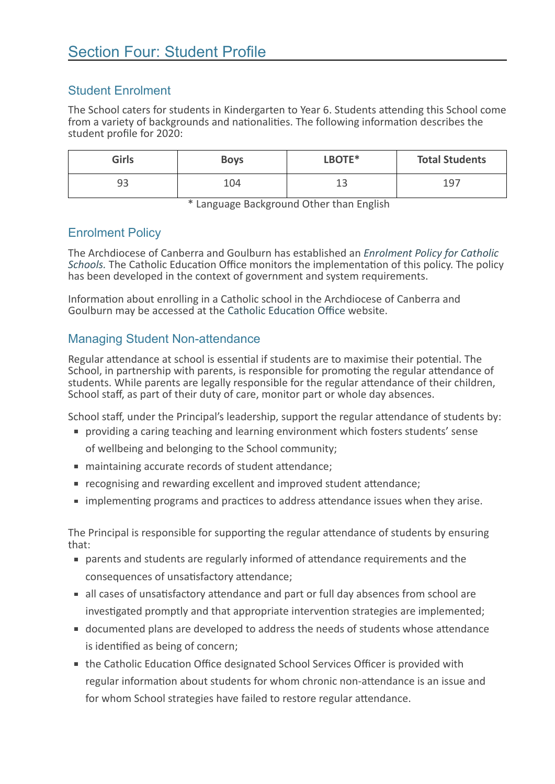#### Student Enrolment

The School caters for students in Kindergarten to Year 6. Students attending this School come from a variety of backgrounds and nationalities. The following information describes the student profile for 2020:

| <b>Girls</b> | <b>Boys</b> | LBOTE*       | <b>Total Students</b> |
|--------------|-------------|--------------|-----------------------|
| 93           | 104         | $\sim$<br>-- | 197                   |

\* Language Background Other than English

#### Enrolment Policy

The Archdiocese of Canberra and Goulburn has established an *Enrolment Policy for Catholic Schools.* [The Catholic Education Office monitors the implementation of this policy. The policy](https://cg.catholic.edu.au/parents/enrolment/act-school-enrolment/) has been developed in the context of government and system requirements.

Information about enrolling in a Catholic school in the Archdiocese of Canberra and Goulburn may be accessed at the [Catholic Education Office](https://cg.catholic.edu.au/) website.

#### Managing Student Non-attendance

Regular attendance at school is essential if students are to maximise their potential. The School, in partnership with parents, is responsible for promoting the regular attendance of students. While parents are legally responsible for the regular attendance of their children, School staff, as part of their duty of care, monitor part or whole day absences.

School staff, under the Principal's leadership, support the regular attendance of students by:

- providing a caring teaching and learning environment which fosters students' sense of wellbeing and belonging to the School community;
- maintaining accurate records of student attendance;
- recognising and rewarding excellent and improved student attendance;
- **I** implementing programs and practices to address attendance issues when they arise.

The Principal is responsible for supporting the regular attendance of students by ensuring that:

- parents and students are regularly informed of attendance requirements and the consequences of unsatisfactory attendance;
- all cases of unsatisfactory attendance and part or full day absences from school are investigated promptly and that appropriate intervention strategies are implemented;
- documented plans are developed to address the needs of students whose attendance is identified as being of concern;
- the Catholic Education Office designated School Services Officer is provided with regular information about students for whom chronic non-attendance is an issue and for whom School strategies have failed to restore regular attendance.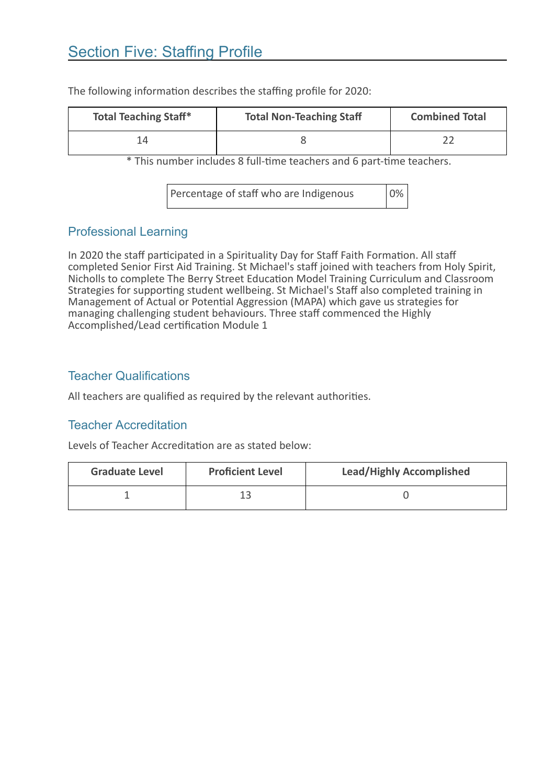## Section Five: Staffing Profile

| <b>Total Teaching Staff*</b> | <b>Total Non-Teaching Staff</b> | <b>Combined Total</b> |
|------------------------------|---------------------------------|-----------------------|
| 14                           |                                 |                       |

The following information describes the staffing profile for 2020:

\* This number includes 8 full-time teachers and 6 part-time teachers.

Percentage of staff who are Indigenous 0%

#### Professional Learning

In 2020 the staff participated in a Spirituality Day for Staff Faith Formation. All staff completed Senior First Aid Training. St Michael's staff joined with teachers from Holy Spirit, Nicholls to complete The Berry Street Education Model Training Curriculum and Classroom Strategies for supporting student wellbeing. St Michael's Staff also completed training in Management of Actual or Potential Aggression (MAPA) which gave us strategies for managing challenging student behaviours. Three staff commenced the Highly Accomplished/Lead certification Module 1

#### Teacher Qualifications

All teachers are qualified as required by the relevant authorities.

#### Teacher Accreditation

Levels of Teacher Accreditation are as stated below:

| <b>Graduate Level</b> | <b>Proficient Level</b> | <b>Lead/Highly Accomplished</b> |
|-----------------------|-------------------------|---------------------------------|
|                       |                         |                                 |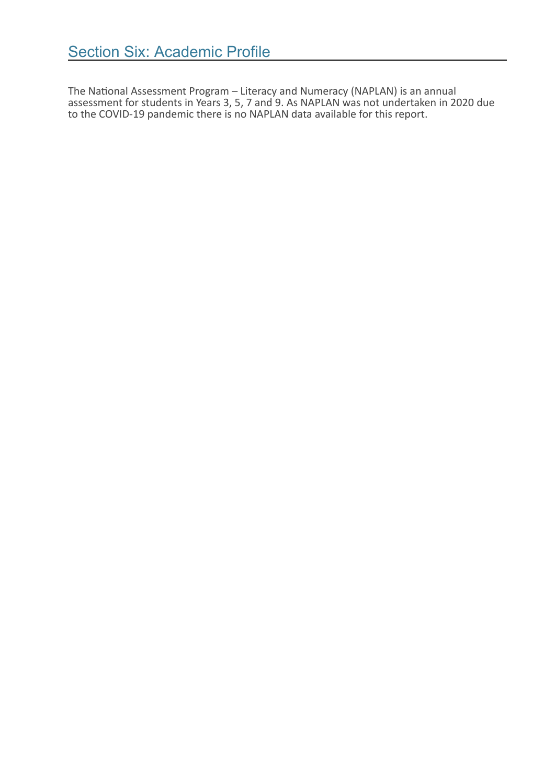The National Assessment Program – Literacy and Numeracy (NAPLAN) is an annual assessment for students in Years 3, 5, 7 and 9. As NAPLAN was not undertaken in 2020 due to the COVID-19 pandemic there is no NAPLAN data available for this report.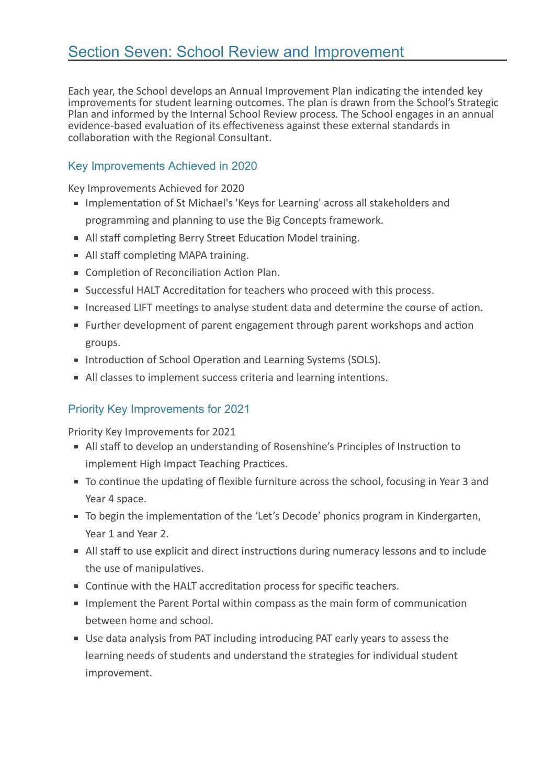Each year, the School develops an Annual Improvement Plan indicating the intended key improvements for student learning outcomes. The plan is drawn from the School's Strategic Plan and informed by the Internal School Review process*.* The School engages in an annual evidence-based evaluation of its effectiveness against these external standards in collaboration with the Regional Consultant.

#### Key Improvements Achieved in 2020

Key Improvements Achieved for 2020

- **Implementation of St Michael's 'Keys for Learning' across all stakeholders and** programming and planning to use the Big Concepts framework.
- All staff completing Berry Street Education Model training.
- All staff completing MAPA training.
- **Completion of Reconciliation Action Plan.**
- **Successful HALT Accreditation for teachers who proceed with this process.**
- **Increased LIFT meetings to analyse student data and determine the course of action.**
- Further development of parent engagement through parent workshops and action groups.
- Introduction of School Operation and Learning Systems (SOLS).
- All classes to implement success criteria and learning intentions.

#### Priority Key Improvements for 2021

Priority Key Improvements for 2021

- All staff to develop an understanding of Rosenshine's Principles of Instruction to implement High Impact Teaching Practices.
- To continue the updating of flexible furniture across the school, focusing in Year 3 and Year 4 space.
- To begin the implementation of the 'Let's Decode' phonics program in Kindergarten, Year 1 and Year 2.
- All staff to use explicit and direct instructions during numeracy lessons and to include the use of manipulatives.
- Continue with the HALT accreditation process for specific teachers.
- **IMPLEM** Implement the Parent Portal within compass as the main form of communication between home and school.
- Use data analysis from PAT including introducing PAT early years to assess the learning needs of students and understand the strategies for individual student improvement.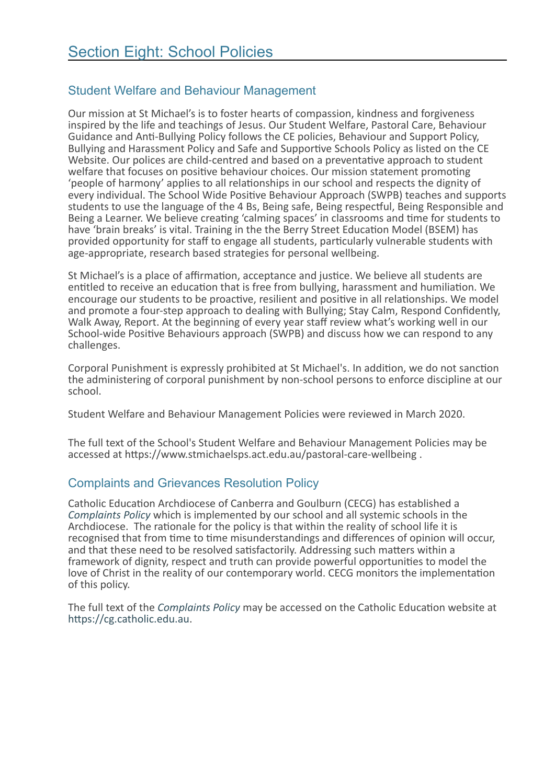#### Student Welfare and Behaviour Management

Our mission at St Michael's is to foster hearts of compassion, kindness and forgiveness inspired by the life and teachings of Jesus. Our Student Welfare, Pastoral Care, Behaviour Guidance and Anti-Bullying Policy follows the CE policies, Behaviour and Support Policy, Bullying and Harassment Policy and Safe and Supportive Schools Policy as listed on the CE Website. Our polices are child-centred and based on a preventative approach to student welfare that focuses on positive behaviour choices. Our mission statement promoting 'people of harmony' applies to all relationships in our school and respects the dignity of every individual. The School Wide Positive Behaviour Approach (SWPB) teaches and supports students to use the language of the 4 Bs, Being safe, Being respectful, Being Responsible and Being a Learner. We believe creating 'calming spaces' in classrooms and time for students to have 'brain breaks' is vital. Training in the the Berry Street Education Model (BSEM) has provided opportunity for staff to engage all students, particularly vulnerable students with age-appropriate, research based strategies for personal wellbeing.

St Michael's is a place of affirmation, acceptance and justice. We believe all students are entitled to receive an education that is free from bullying, harassment and humiliation. We encourage our students to be proactive, resilient and positive in all relationships. We model and promote a four-step approach to dealing with Bullying; Stay Calm, Respond Confidently,<br>Walk Away, Report. At the beginning of every year staff review what's working well in our School-wide Positive Behaviours approach (SWPB) and discuss how we can respond to any challenges.

Corporal Punishment is expressly prohibited at St Michael's. In addition, we do not sanction the administering of corporal punishment by non-school persons to enforce discipline at our school.

Student Welfare and Behaviour Management Policies were reviewed in March 2020.

The full text of the School's Student Welfare and Behaviour Management Policies may be accessed at https://www.stmichaelsps.act.edu.au/pastoral-care-wellbeing .

#### Complaints and Grievances Resolution Policy

Catholic Education Archdiocese of Canberra and Goulburn (CECG) has established a *[Complaints Policy](https://cg.catholic.edu.au/)* which is implemented by our school and all systemic schools in the Archdiocese. The rationale for the policy is that within the reality of school life it is recognised that from time to time misunderstandings and differences of opinion will occur, and that these need to be resolved satisfactorily. Addressing such matters within a framework of dignity, respect and truth can provide powerful opportunities to model the love of Christ in the reality of our contemporary world. CECG monitors the implementation of this policy.

The full text of the *[Complaints Policy](https://cg.catholic.edu.au/)* may be accessed on the Catholic Education website at [https://cg.catholic.edu.au](https://cg.catholic.edu.au/).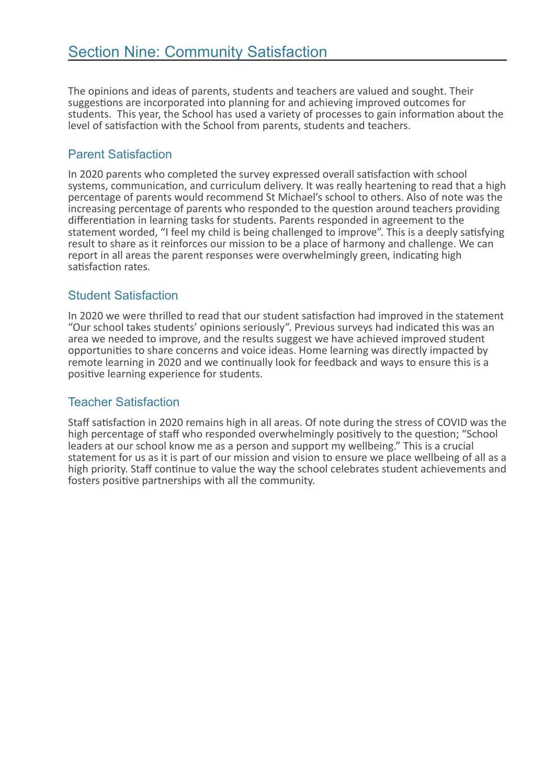The opinions and ideas of parents, students and teachers are valued and sought. Their suggestions are incorporated into planning for and achieving improved outcomes for students. This year, the School has used a variety of processes to gain information about the level of satisfaction with the School from parents, students and teachers.

#### Parent Satisfaction

In 2020 parents who completed the survey expressed overall satisfaction with school systems, communication, and curriculum delivery. It was really heartening to read that a high percentage of parents would recommend St Michael's school to others. Also of note was the increasing percentage of parents who responded to the question around teachers providing differentiation in learning tasks for students. Parents responded in agreement to the statement worded, "I feel my child is being challenged to improve". This is a deeply satisfying result to share as it reinforces our mission to be a place of harmony and challenge. We can report in all areas the parent responses were overwhelmingly green, indicating high satisfaction rates.

#### Student Satisfaction

In 2020 we were thrilled to read that our student satisfaction had improved in the statement "Our school takes students' opinions seriously". Previous surveys had indicated this was an area we needed to improve, and the results suggest we have achieved improved student opportunities to share concerns and voice ideas. Home learning was directly impacted by remote learning in 2020 and we continually look for feedback and ways to ensure this is a positive learning experience for students.

#### Teacher Satisfaction

Staff satisfaction in 2020 remains high in all areas. Of note during the stress of COVID was the high percentage of staff who responded overwhelmingly positively to the question; "School leaders at our school know me as a person and support my wellbeing." This is a crucial statement for us as it is part of our mission and vision to ensure we place wellbeing of all as a high priority. Staff continue to value the way the school celebrates student achievements and fosters positive partnerships with all the community.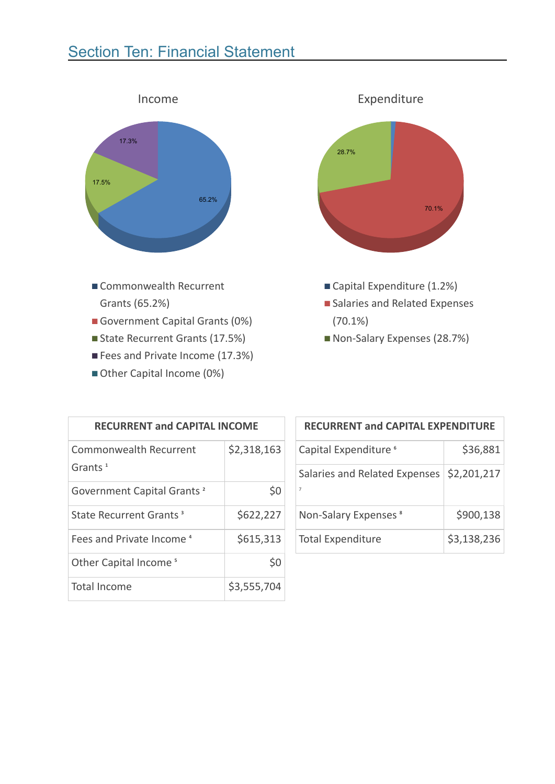## **Section Ten: Financial Statement**



- Commonwealth Recurrent Grants (65.2%)
- Government Capital Grants (0%)
- State Recurrent Grants (17.5%)
- Fees and Private Income (17.3%)
- Other Capital Income (0%)



- Capital Expenditure (1.2%)
- Salaries and Related Expenses (70.1%)
- Non-Salary Expenses (28.7%)

| <b>RECURRENT and CAPITAL INCOME</b>                        |             |  |
|------------------------------------------------------------|-------------|--|
| Commonwealth Recurrent<br>Grants <sup><math>1</math></sup> | \$2,318,163 |  |
| Government Capital Grants <sup>2</sup>                     | \$0         |  |
| State Recurrent Grants <sup>3</sup>                        | \$622,227   |  |
| Fees and Private Income 4                                  | \$615,313   |  |
| Other Capital Income <sup>5</sup>                          | \$0         |  |
| <b>Total Income</b>                                        | \$3,555,704 |  |

| <b>RECURRENT and CAPITAL EXPENDITURE</b>                      |             |  |
|---------------------------------------------------------------|-------------|--|
| Capital Expenditure <sup>6</sup>                              | \$36,881    |  |
| Salaries and Related Expenses   \$2,201,217<br>$\overline{7}$ |             |  |
| Non-Salary Expenses <sup>8</sup>                              | \$900,138   |  |
| <b>Total Expenditure</b>                                      | \$3,138,236 |  |